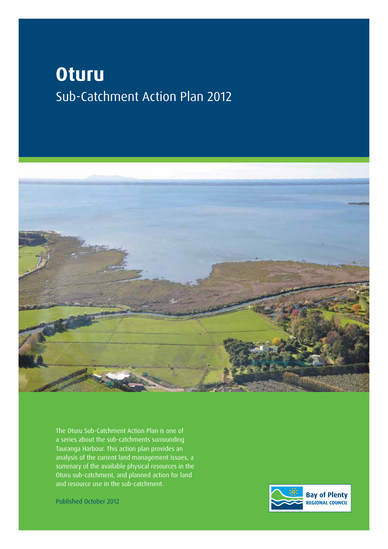# **Oturu** Sub-Catchment Action Plan 2012



The Oturu Sub-Catchment Action Plan is one of a series about the sub-catchments surrounding Tauranga Harbour. This action plan provides an analysis of the current land management issues, a summary of the available physical resources in the Oturu sub-catchment, and planned action for land and resource use in the sub-catchment.

Published October 2012

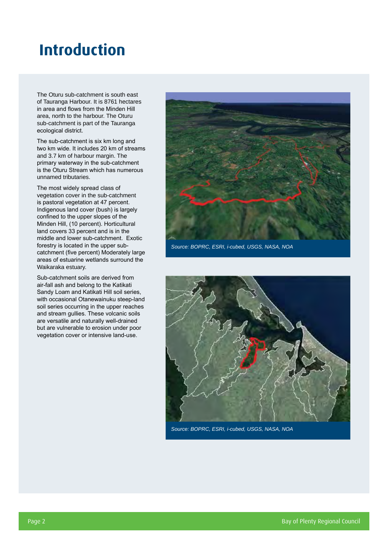## **Introduction**

The Oturu sub-catchment is south east of Tauranga Harbour. It is 8761 hectares in area and flows from the Minden Hill area, north to the harbour. The Oturu sub-catchment is part of the Tauranga ecological district.

The sub-catchment is six km long and two km wide. It includes 20 km of streams and 3.7 km of harbour margin. The primary waterway in the sub-catchment is the Oturu Stream which has numerous unnamed tributaries.

The most widely spread class of vegetation cover in the sub-catchment is pastoral vegetation at 47 percent. Indigenous land cover (bush) is largely confined to the upper slopes of the Minden Hill, (10 percent). Horticultural land covers 33 percent and is in the middle and lower sub-catchment. Exotic forestry is located in the upper subcatchment (five percent) Moderately large areas of estuarine wetlands surround the Waikaraka estuary.

Sub-catchment soils are derived from air-fall ash and belong to the Katikati Sandy Loam and Katikati Hill soil series, with occasional Otanewainuku steep-land soil series occurring in the upper reaches and stream gullies. These volcanic soils are versatile and naturally well-drained but are vulnerable to erosion under poor vegetation cover or intensive land-use.



*Source: BOPRC, ESRI, i-cubed, USGS, NASA, NOA*



*Source: BOPRC, ESRI, i-cubed, USGS, NASA, NOA*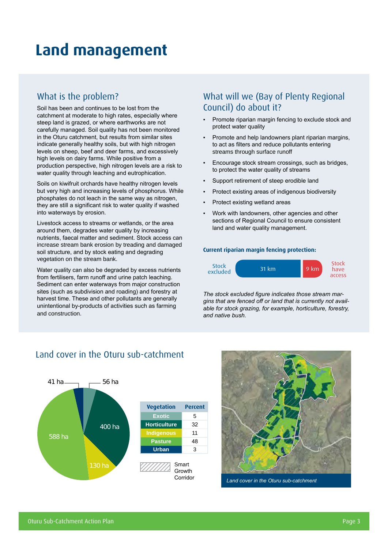## **Land management**

### What is the problem?

Soil has been and continues to be lost from the catchment at moderate to high rates, especially where steep land is grazed, or where earthworks are not carefully managed. Soil quality has not been monitored in the Oturu catchment, but results from similar sites indicate generally healthy soils, but with high nitrogen levels on sheep, beef and deer farms, and excessively high levels on dairy farms. While positive from a production perspective, high nitrogen levels are a risk to water quality through leaching and eutrophication.

Soils on kiwifruit orchards have healthy nitrogen levels but very high and increasing levels of phosphorus. While phosphates do not leach in the same way as nitrogen, they are still a significant risk to water quality if washed into waterways by erosion.

Livestock access to streams or wetlands, or the area around them, degrades water quality by increasing nutrients, faecal matter and sediment. Stock access can increase stream bank erosion by treading and damaged soil structure, and by stock eating and degrading vegetation on the stream bank.

Water quality can also be degraded by excess nutrients from fertilisers, farm runoff and urine patch leaching. Sediment can enter waterways from major construction sites (such as subdivision and roading) and forestry at harvest time. These and other pollutants are generally unintentional by-products of activities such as farming and construction.

## What will we (Bay of Plenty Regional Council) do about it?

- Promote riparian margin fencing to exclude stock and protect water quality
- Promote and help landowners plant riparian margins, to act as filters and reduce pollutants entering streams through surface runoff
- Encourage stock stream crossings, such as bridges, to protect the water quality of streams
- Support retirement of steep erodible land
- Protect existing areas of indigenous biodiversity
- Protect existing wetland areas
- Work with landowners, other agencies and other sections of Regional Council to ensure consistent land and water quality management.

#### **Current riparian margin fencing protection:**



*The stock excluded figure indicates those stream margins that are fenced off or land that is currently not available for stock grazing, for example, horticulture, forestry, and native bush.*

### Land cover in the Oturu sub-catchment



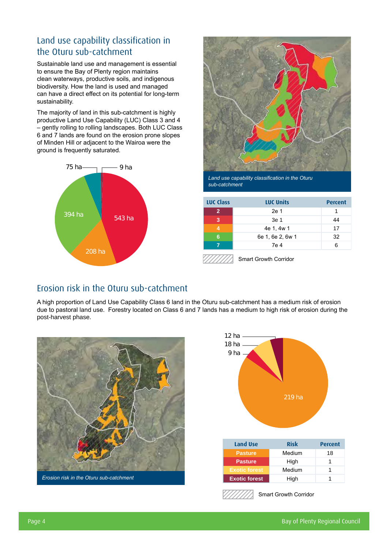## Land use capability classification in the Oturu sub-catchment

Sustainable land use and management is essential to ensure the Bay of Plenty region maintains clean waterways, productive soils, and indigenous biodiversity. How the land is used and managed can have a direct effect on its potential for long-term sustainability.

The majority of land in this sub-catchment is highly productive Land Use Capability (LUC) Class 3 and 4 – gently rolling to rolling landscapes. Both LUC Class 6 and 7 lands are found on the erosion prone slopes of Minden Hill or adjacent to the Wairoa were the ground is frequently saturated.





*Land use capability classification in the Oturu sub-catchment*

| <b>LUC Class</b> | <b>LUC Units</b> | <b>Percent</b> |
|------------------|------------------|----------------|
|                  | 2e 1             |                |
| 3                | 3e 1             | 44             |
|                  | 4e 1, 4w 1       | 17             |
| 6                | 6e 1, 6e 2, 6w 1 | 32             |
|                  | 7e 4             | ิค             |
|                  |                  |                |

Smart Growth Corridor

### Erosion risk in the Oturu sub-catchment

A high proportion of Land Use Capability Class 6 land in the Oturu sub-catchment has a medium risk of erosion due to pastoral land use. Forestry located on Class 6 and 7 lands has a medium to high risk of erosion during the post-harvest phase.





Smart Growth Corridor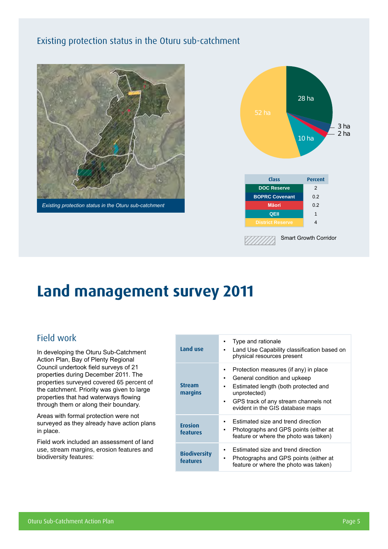## Existing protection status in the Oturu sub-catchment





## **Land management survey 2011**

### Field work

In developing the Oturu Sub-Catchment Action Plan, Bay of Plenty Regional Council undertook field surveys of 21 properties during December 2011. The properties surveyed covered 65 percent of the catchment. Priority was given to large properties that had waterways flowing through them or along their boundary.

Areas with formal protection were not surveyed as they already have action plans in place.

Field work included an assessment of land use, stream margins, erosion features and biodiversity features:

| Land use                        | Type and rationale<br>Land Use Capability classification based on<br>physical resources present                                                                                                                     |
|---------------------------------|---------------------------------------------------------------------------------------------------------------------------------------------------------------------------------------------------------------------|
| <b>Stream</b><br>margins        | Protection measures (if any) in place<br>General condition and upkeep<br>٠<br>Estimated length (both protected and<br>unprotected)<br>GPS track of any stream channels not<br>٠<br>evident in the GIS database maps |
| <b>Erosion</b><br>features      | Estimated size and trend direction<br>Photographs and GPS points (either at<br>feature or where the photo was taken)                                                                                                |
| <b>Biodiversity</b><br>features | Estimated size and trend direction<br>Photographs and GPS points (either at<br>٠<br>feature or where the photo was taken)                                                                                           |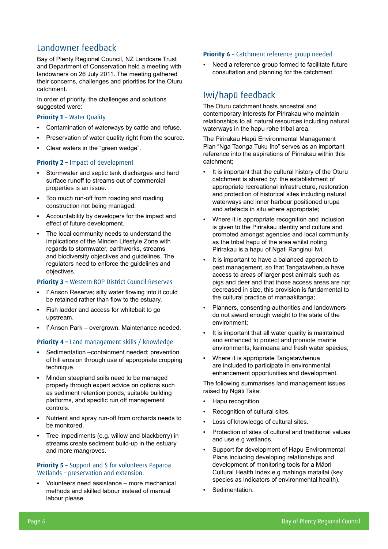## Landowner feedback

Bay of Plenty Regional Council, NZ Landcare Trust and Department of Conservation held a meeting with landowners on 26 July 2011. The meeting gathered their concerns, challenges and priorities for the Oturu catchment.

In order of priority, the challenges and solutions suggested were:

#### **Priority 1 - Water Quality**

- Contamination of waterways by cattle and refuse.
- Preservation of water quality right from the source.
- Clear waters in the "green wedge".

#### **Priority 2 –** Impact of development

- Stormwater and septic tank discharges and hard surface runoff to streams out of commercial properties is an issue.
- Too much run-off from roading and roading construction not being managed.
- Accountability by developers for the impact and effect of future development.
- The local community needs to understand the implications of the Minden Lifestyle Zone with regards to stormwater, earthworks, streams and biodiversity objectives and guidelines. The regulators need to enforce the guidelines and objectives.

#### **Priority 3 –** Western BOP District Council Reserves

- I' Anson Reserve; silty water flowing into it could be retained rather than flow to the estuary.
- Fish ladder and access for whitebait to go upstream.
- I' Anson Park overgrown. Maintenance needed.

#### **Priority 4 –** Land management skills / knowledge

- Sedimentation –containment needed; prevention of hill erosion through use of appropriate cropping technique.
- Minden steepland soils need to be managed properly through expert advice on options such as sediment retention ponds, suitable building platforms, and specific run off management controls.
- Nutrient and spray run-off from orchards needs to be monitored.
- Tree impediments (e.g. willow and blackberry) in streams create sediment build-up in the estuary and more mangroves.

### **Priority 5 –** Support and \$ for volunteers Paparoa Wetlands – preservation and extension.

Volunteers need assistance – more mechanical methods and skilled labour instead of manual labour please.

#### **Priority 6 –** Catchment reference group needed

Need a reference group formed to facilitate future consultation and planning for the catchment.

### Iwi/hapū feedback

The Oturu catchment hosts ancestral and contemporary interests for Pirirakau who maintain relationships to all natural resources including natural waterways in the hapu rohe tribal area.

The Pirirakau Hapū Environmental Management Plan "Nga Taonga Tuku Iho" serves as an important reference into the aspirations of Pirirakau within this catchment;

- It is important that the cultural history of the Oturu catchment is shared by: the establishment of appropriate recreational infrastructure, restoration and protection of historical sites including natural waterways and inner harbour positioned urupa and artefacts in situ where appropriate;
- Where it is appropriate recognition and inclusion is given to the Pirirakau identity and culture and promoted amongst agencies and local community as the tribal hapu of the area whilst noting Pirirakau is a hapu of Ngati Ranginui Iwi.
- It is important to have a balanced approach to pest management, so that Tangatawhenua have access to areas of larger pest animals such as pigs and deer and that those access areas are not decreased in size, this provision is fundamental to the cultural practice of manaakitanga;
- Planners, consenting authorities and landowners do not award enough weight to the state of the environment;
- It is important that all water quality is maintained and enhanced to protect and promote marine environments, kaimoana and fresh water species;
- Where it is appropriate Tangatawhenua are included to participate in environmental enhancement opportunities and development.

The following summarises land management issues raised by Ngāti Taka:

- Hapu recognition.
- Recognition of cultural sites.
- Loss of knowledge of cultural sites.
- Protection of sites of cultural and traditional values and use e.g wetlands.
- Support for development of Hapu Environmental Plans including developing relationships and development of monitoring tools for a Māori Cultural Health Index e.g mahinga mataitai (key species as indicators of environmental health).
- Sedimentation.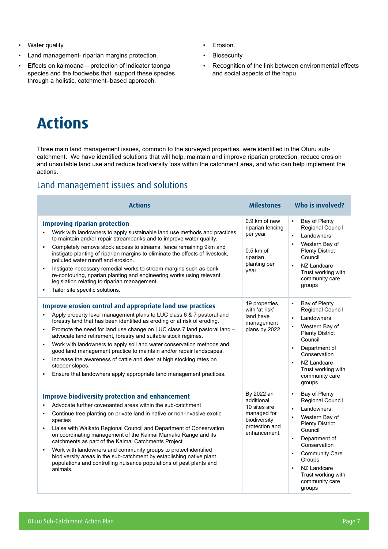- Water quality.
- Land management- riparian margins protection.
- Effects on kaimoana protection of indicator taonga species and the foodwebs that support these species through a holistic, catchment–based approach.
- Erosion.
- Biosecurity.
- Recognition of the link between environmental effects and social aspects of the hapu.

## **Actions**

Three main land management issues, common to the surveyed properties, were identified in the Oturu subcatchment. We have identified solutions that will help, maintain and improve riparian protection, reduce erosion and unsuitable land use and reduce biodiversity loss within the catchment area, and who can help implement the actions.

## Land management issues and solutions

| <b>Actions</b>                                                                                                                                                                                                                                                                                                                                                                                                                                                                                                                                                                                                                                                                                   | <b>Milestones</b>                                                                                         | Who is involved?                                                                                                                                                                                                                                                                |  |  |
|--------------------------------------------------------------------------------------------------------------------------------------------------------------------------------------------------------------------------------------------------------------------------------------------------------------------------------------------------------------------------------------------------------------------------------------------------------------------------------------------------------------------------------------------------------------------------------------------------------------------------------------------------------------------------------------------------|-----------------------------------------------------------------------------------------------------------|---------------------------------------------------------------------------------------------------------------------------------------------------------------------------------------------------------------------------------------------------------------------------------|--|--|
| <b>Improving riparian protection</b><br>Work with landowners to apply sustainable land use methods and practices<br>to maintain and/or repair streambanks and to improve water quality.<br>Completely remove stock access to streams, fence remaining 9km and<br>$\blacksquare$<br>instigate planting of riparian margins to eliminate the effects of livestock,<br>polluted water runoff and erosion.<br>Instigate necessary remedial works to stream margins such as bank<br>re-contouring, riparian planting and engineering works using relevant<br>legislation relating to riparian management.<br>Tailor site specific solutions.                                                          | 0.9 km of new<br>riparian fencing<br>per year<br>$0.5$ km of<br>riparian<br>planting per<br>year          | Bay of Plenty<br>Regional Council<br>Landowners<br>Western Bay of<br><b>Plenty District</b><br>Council<br>NZ Landcare<br>Trust working with<br>community care<br>groups                                                                                                         |  |  |
| Improve erosion control and appropriate land use practices<br>Apply property level management plans to LUC class 6 & 7 pastoral and<br>forestry land that has been identified as eroding or at risk of eroding.<br>Promote the need for land use change on LUC class 7 land pastoral land -<br>$\blacksquare$<br>advocate land retirement, forestry and suitable stock regimes.<br>Work with landowners to apply soil and water conservation methods and<br>good land management practice to maintain and/or repair landscapes.<br>Increase the awareness of cattle and deer at high stocking rates on<br>steeper slopes.<br>Ensure that landowners apply appropriate land management practices. | 19 properties<br>with 'at risk'<br>land have<br>management<br>plans by 2022                               | Bay of Plenty<br>Regional Council<br>Landowners<br>$\blacksquare$<br>Western Bay of<br><b>Plenty District</b><br>Council<br>Department of<br>$\blacksquare$<br>Conservation<br>NZ Landcare<br>Trust working with<br>community care<br>groups                                    |  |  |
| <b>Improve biodiversity protection and enhancement</b><br>Advocate further covenanted areas within the sub-catchment<br>Continue tree planting on private land in native or non-invasive exotic<br>species<br>Liaise with Waikato Regional Council and Department of Conservation<br>on coordinating management of the Kaimai Mamaku Range and its<br>catchments as part of the Kaimai Catchments Project<br>Work with landowners and community groups to protect identified<br>biodiversity areas in the sub-catchment by establishing native plant<br>populations and controlling nuisance populations of pest plants and<br>animals.                                                          | By 2022 an<br>additional<br>10 sites are<br>managed for<br>biodiversity<br>protection and<br>enhancement. | Bay of Plenty<br>Regional Council<br>Landowners<br>$\blacksquare$<br>Western Bay of<br><b>Plenty District</b><br>Council<br>Department of<br>$\blacksquare$<br>Conservation<br><b>Community Care</b><br>Groups<br>NZ Landcare<br>Trust working with<br>community care<br>groups |  |  |